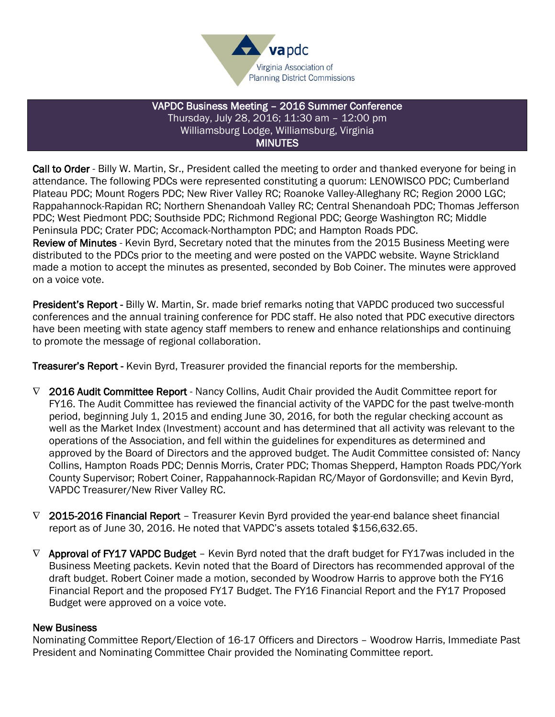

#### VAPDC Business Meeting – 2016 Summer Conference Thursday, July 28, 2016; 11:30 am – 12:00 pm Williamsburg Lodge, Williamsburg, Virginia MINUTES

Call to Order - Billy W. Martin, Sr., President called the meeting to order and thanked everyone for being in attendance. The following PDCs were represented constituting a quorum: LENOWISCO PDC; Cumberland Plateau PDC; Mount Rogers PDC; New River Valley RC; Roanoke Valley-Alleghany RC; Region 2000 LGC; Rappahannock-Rapidan RC; Northern Shenandoah Valley RC; Central Shenandoah PDC; Thomas Jefferson PDC; West Piedmont PDC; Southside PDC; Richmond Regional PDC; George Washington RC; Middle Peninsula PDC; Crater PDC; Accomack-Northampton PDC; and Hampton Roads PDC. Review of Minutes - Kevin Byrd, Secretary noted that the minutes from the 2015 Business Meeting were distributed to the PDCs prior to the meeting and were posted on the VAPDC website. Wayne Strickland made a motion to accept the minutes as presented, seconded by Bob Coiner. The minutes were approved on a voice vote.

President's Report - Billy W. Martin, Sr. made brief remarks noting that VAPDC produced two successful conferences and the annual training conference for PDC staff. He also noted that PDC executive directors have been meeting with state agency staff members to renew and enhance relationships and continuing to promote the message of regional collaboration.

**Treasurer's Report** - Kevin Byrd, Treasurer provided the financial reports for the membership.

- $\nabla$  2016 Audit Committee Report Nancy Collins, Audit Chair provided the Audit Committee report for FY16. The Audit Committee has reviewed the financial activity of the VAPDC for the past twelve-month period, beginning July 1, 2015 and ending June 30, 2016, for both the regular checking account as well as the Market Index (Investment) account and has determined that all activity was relevant to the operations of the Association, and fell within the guidelines for expenditures as determined and approved by the Board of Directors and the approved budget. The Audit Committee consisted of: Nancy Collins, Hampton Roads PDC; Dennis Morris, Crater PDC; Thomas Shepperd, Hampton Roads PDC/York County Supervisor; Robert Coiner, Rappahannock-Rapidan RC/Mayor of Gordonsville; and Kevin Byrd, VAPDC Treasurer/New River Valley RC.
- $\nabla$  2015-2016 Financial Report Treasurer Kevin Byrd provided the year-end balance sheet financial report as of June 30, 2016. He noted that VAPDC's assets totaled \$156,632.65.
- $\nabla$  Approval of FY17 VAPDC Budget Kevin Byrd noted that the draft budget for FY17 was included in the Business Meeting packets. Kevin noted that the Board of Directors has recommended approval of the draft budget. Robert Coiner made a motion, seconded by Woodrow Harris to approve both the FY16 Financial Report and the proposed FY17 Budget. The FY16 Financial Report and the FY17 Proposed Budget were approved on a voice vote.

#### New Business

Nominating Committee Report/Election of 16-17 Officers and Directors – Woodrow Harris, Immediate Past President and Nominating Committee Chair provided the Nominating Committee report.